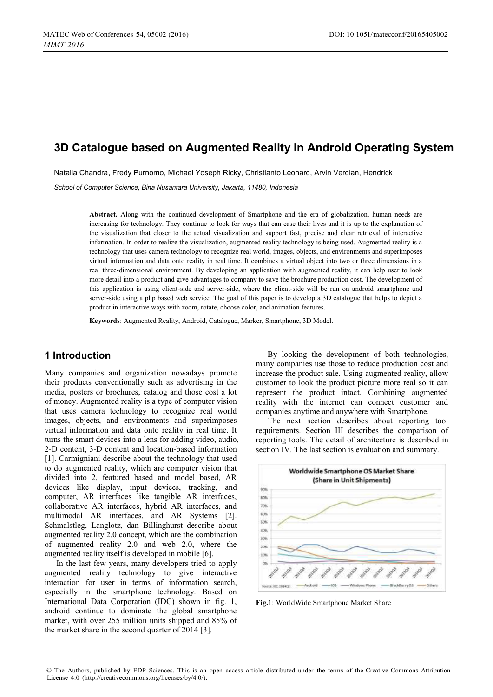# **3D Catalogue based on Augmented Reality in Android Operating System**

Natalia Chandra, Fredy Purnomo, Michael Yoseph Ricky, Christianto Leonard, Arvin Verdian, Hendrick

*School of Computer Science, Bina Nusantara University, Jakarta, 11480, Indonesia* 

**Abstract.** Along with the continued development of Smartphone and the era of globalization, human needs are increasing for technology. They continue to look for ways that can ease their lives and it is up to the explanation of the visualization that closer to the actual visualization and support fast, precise and clear retrieval of interactive information. In order to realize the visualization, augmented reality technology is being used. Augmented reality is a technology that uses camera technology to recognize real world, images, objects, and environments and superimposes virtual information and data onto reality in real time. It combines a virtual object into two or three dimensions in a real three-dimensional environment. By developing an application with augmented reality, it can help user to look more detail into a product and give advantages to company to save the brochure production cost. The development of this application is using client-side and server-side, where the client-side will be run on android smartphone and server-side using a php based web service. The goal of this paper is to develop a 3D catalogue that helps to depict a product in interactive ways with zoom, rotate, choose color, and animation features.

**Keywords**: Augmented Reality, Android, Catalogue, Marker, Smartphone, 3D Model.

## **1 Introduction**

Many companies and organization nowadays promote their products conventionally such as advertising in the media, posters or brochures, catalog and those cost a lot of money. Augmented reality is a type of computer vision that uses camera technology to recognize real world images, objects, and environments and superimposes virtual information and data onto reality in real time. It turns the smart devices into a lens for adding video, audio, 2-D content, 3-D content and location-based information [1]. Carmigniani describe about the technology that used to do augmented reality, which are computer vision that divided into 2, featured based and model based, AR devices like display, input devices, tracking, and computer, AR interfaces like tangible AR interfaces, collaborative AR interfaces, hybrid AR interfaces, and multimodal AR interfaces, and AR Systems [2]. Schmalstleg, Langlotz, dan Billinghurst describe about augmented reality 2.0 concept, which are the combination of augmented reality 2.0 and web 2.0, where the augmented reality itself is developed in mobile [6].

In the last few years, many developers tried to apply augmented reality technology to give interactive interaction for user in terms of information search, especially in the smartphone technology. Based on International Data Corporation (IDC) shown in fig. 1, android continue to dominate the global smartphone market, with over 255 million units shipped and 85% of the market share in the second quarter of 2014 [3].

By looking the development of both technologies, many companies use those to reduce production cost and increase the product sale. Using augmented reality, allow customer to look the product picture more real so it can represent the product intact. Combining augmented reality with the internet can connect customer and companies anytime and anywhere with Smartphone.

The next section describes about reporting tool requirements. Section III describes the comparison of reporting tools. The detail of architecture is described in section IV. The last section is evaluation and summary.



**Fig.1**: WorldWide Smartphone Market Share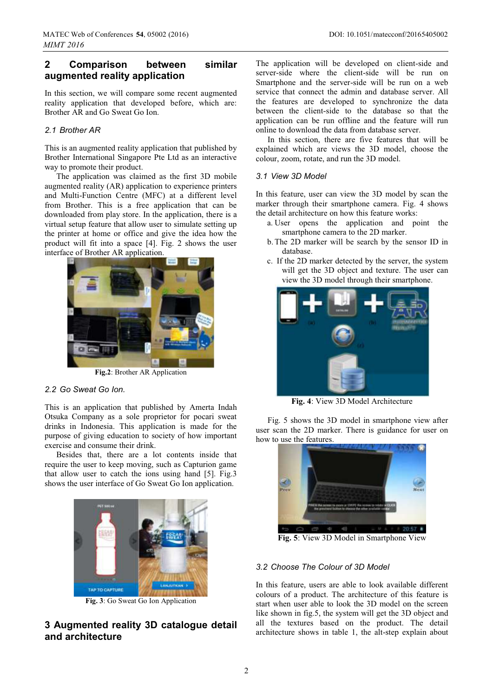## **2 Comparison between similar augmented reality application**

In this section, we will compare some recent augmented reality application that developed before, which are: Brother AR and Go Sweat Go Ion.

### *2.1 Brother AR*

This is an augmented reality application that published by Brother International Singapore Pte Ltd as an interactive way to promote their product.

The application was claimed as the first 3D mobile augmented reality (AR) application to experience printers and Multi-Function Centre (MFC) at a different level from Brother. This is a free application that can be downloaded from play store. In the application, there is a virtual setup feature that allow user to simulate setting up the printer at home or office and give the idea how the product will fit into a space [4]. Fig. 2 shows the user interface of Brother AR application.



**Fig.2**: Brother AR Application

#### *2.2 Go Sweat Go Ion.*

This is an application that published by Amerta Indah Otsuka Company as a sole proprietor for pocari sweat drinks in Indonesia. This application is made for the purpose of giving education to society of how important exercise and consume their drink.

Besides that, there are a lot contents inside that require the user to keep moving, such as Capturion game that allow user to catch the ions using hand [5]. Fig.3 shows the user interface of Go Sweat Go Ion application.



**Fig. 3**: Go Sweat Go Ion Application

## **3 Augmented reality 3D catalogue detail and architecture**

**DOI: 10.1051/matecconf/20165405002** 

The application will be developed on client-side and server-side where the client-side will be run on Smartphone and the server-side will be run on a web service that connect the admin and database server. All the features are developed to synchronize the data between the client-side to the database so that the application can be run offline and the feature will run online to download the data from database server.

In this section, there are five features that will be explained which are views the 3D model, choose the colour, zoom, rotate, and run the 3D model.

### *3.1 View 3D Model*

In this feature, user can view the 3D model by scan the marker through their smartphone camera. Fig. 4 shows the detail architecture on how this feature works:

- a. User opens the application and point the smartphone camera to the 2D marker.
- b. The 2D marker will be search by the sensor ID in database.
- c. If the 2D marker detected by the server, the system will get the 3D object and texture. The user can view the 3D model through their smartphone.



**Fig. 4**: View 3D Model Architecture

Fig. 5 shows the 3D model in smartphone view after user scan the 2D marker. There is guidance for user on how to use the features.



**Fig. 5**: View 3D Model in Smartphone View

## *3.2 Choose The Colour of 3D Model*

In this feature, users are able to look available different colours of a product. The architecture of this feature is start when user able to look the 3D model on the screen like shown in fig.5, the system will get the 3D object and all the textures based on the product. The detail architecture shows in table 1, the alt-step explain about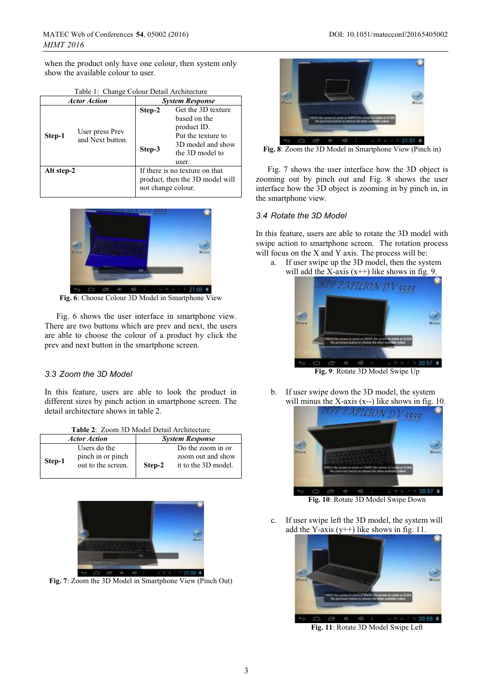when the product only have one colour, then system only show the available colour to user.

Table 1: Change Colour Detail Architecture

| <b>Actor Action</b> |                                     | <b>System Response</b>          |                    |
|---------------------|-------------------------------------|---------------------------------|--------------------|
|                     |                                     | Step-2                          | Get the 3D texture |
| Step-1              | User press Prev<br>and Next button. |                                 | based on the       |
|                     |                                     |                                 | product ID.        |
|                     |                                     |                                 | Put the texture to |
|                     |                                     | Step-3                          | 3D model and show  |
|                     |                                     |                                 | the 3D model to    |
|                     |                                     |                                 | user.              |
| Alt step-2          |                                     | If there is no texture on that  |                    |
|                     |                                     | product, then the 3D model will |                    |
|                     |                                     | not change colour.              |                    |



**Fig. 6**: Choose Colour 3D Model in Smartphone View

Fig. 6 shows the user interface in smartphone view. There are two buttons which are prev and next, the users are able to choose the colour of a product by click the prev and next button in the smartphone screen.

#### *3.3 Zoom the 3D Model*

In this feature, users are able to look the product in different sizes by pinch action in smartphone screen. The detail architecture shows in table 2.

|  |  | <b>Table 2: Zoom 3D Model Detail Architecture</b> |
|--|--|---------------------------------------------------|
|  |  |                                                   |

| <b>Actor Action</b> |                                                         | <b>System Response</b> |                                                               |
|---------------------|---------------------------------------------------------|------------------------|---------------------------------------------------------------|
| Step-1              | Users do the<br>pinch in or pinch<br>out to the screen. | Step-2                 | Do the zoom in or<br>zoom out and show<br>it to the 3D model. |



**Fig. 7**: Zoom the 3D Model in Smartphone View (Pinch Out)



**Fig. 8**: Zoom the 3D Model in Smartphone View (Pinch in)

Fig. 7 shows the user interface how the 3D object is zooming out by pinch out and Fig. 8 shows the user interface how the 3D object is zooming in by pinch in, in the smartphone view.

#### *3.4 Rotate the 3D Model*

In this feature, users are able to rotate the 3D model with swipe action to smartphone screen. The rotation process will focus on the X and Y axis. The process will be:

a. If user swipe up the 3D model, then the system will add the X-axis  $(x++)$  like shows in fig. 9.



**Fig. 9**: Rotate 3D Model Swipe Up

b. If user swipe down the 3D model, the system will minus the X-axis  $(x-$ ) like shows in fig. 10.



**Fig. 10**: Rotate 3D Model Swipe Down

c. If user swipe left the 3D model, the system will add the Y-axis  $(y++)$  like shows in fig. 11.



**Fig. 11**: Rotate 3D Model Swipe Left